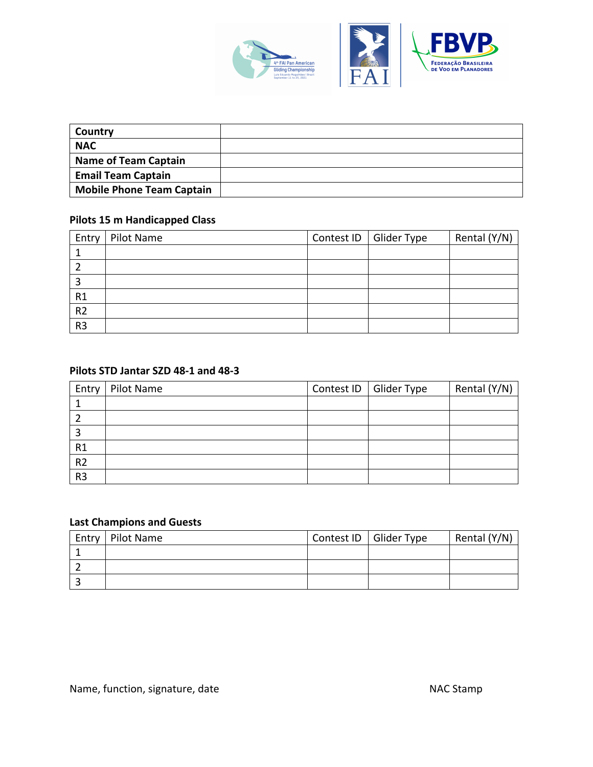

| Country                          |  |
|----------------------------------|--|
| <b>NAC</b>                       |  |
| <b>Name of Team Captain</b>      |  |
| <b>Email Team Captain</b>        |  |
| <b>Mobile Phone Team Captain</b> |  |

## **Pilots 15 m Handicapped Class**

| Entry          | Pilot Name | Contest ID | Glider Type | Rental (Y/N) |
|----------------|------------|------------|-------------|--------------|
|                |            |            |             |              |
|                |            |            |             |              |
|                |            |            |             |              |
| R <sub>1</sub> |            |            |             |              |
| R <sub>2</sub> |            |            |             |              |
| R <sub>3</sub> |            |            |             |              |

## **Pilots STD Jantar SZD 48-1 and 48-3**

| Entry          | Pilot Name | Contest ID | Glider Type | Rental (Y/N) |
|----------------|------------|------------|-------------|--------------|
|                |            |            |             |              |
|                |            |            |             |              |
|                |            |            |             |              |
| R1             |            |            |             |              |
| R <sub>2</sub> |            |            |             |              |
| R <sub>3</sub> |            |            |             |              |

## **Last Champions and Guests**

| Entry   Pilot Name | Contest ID   Glider Type | Rental (Y/N) |
|--------------------|--------------------------|--------------|
|                    |                          |              |
|                    |                          |              |
|                    |                          |              |